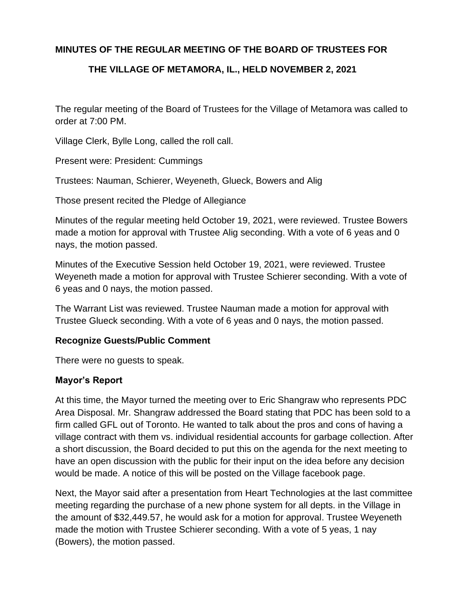# **MINUTES OF THE REGULAR MEETING OF THE BOARD OF TRUSTEES FOR**

### **THE VILLAGE OF METAMORA, IL., HELD NOVEMBER 2, 2021**

The regular meeting of the Board of Trustees for the Village of Metamora was called to order at 7:00 PM.

Village Clerk, Bylle Long, called the roll call.

Present were: President: Cummings

Trustees: Nauman, Schierer, Weyeneth, Glueck, Bowers and Alig

Those present recited the Pledge of Allegiance

Minutes of the regular meeting held October 19, 2021, were reviewed. Trustee Bowers made a motion for approval with Trustee Alig seconding. With a vote of 6 yeas and 0 nays, the motion passed.

Minutes of the Executive Session held October 19, 2021, were reviewed. Trustee Weyeneth made a motion for approval with Trustee Schierer seconding. With a vote of 6 yeas and 0 nays, the motion passed.

The Warrant List was reviewed. Trustee Nauman made a motion for approval with Trustee Glueck seconding. With a vote of 6 yeas and 0 nays, the motion passed.

### **Recognize Guests/Public Comment**

There were no guests to speak.

### **Mayor's Report**

At this time, the Mayor turned the meeting over to Eric Shangraw who represents PDC Area Disposal. Mr. Shangraw addressed the Board stating that PDC has been sold to a firm called GFL out of Toronto. He wanted to talk about the pros and cons of having a village contract with them vs. individual residential accounts for garbage collection. After a short discussion, the Board decided to put this on the agenda for the next meeting to have an open discussion with the public for their input on the idea before any decision would be made. A notice of this will be posted on the Village facebook page.

Next, the Mayor said after a presentation from Heart Technologies at the last committee meeting regarding the purchase of a new phone system for all depts. in the Village in the amount of \$32,449.57, he would ask for a motion for approval. Trustee Weyeneth made the motion with Trustee Schierer seconding. With a vote of 5 yeas, 1 nay (Bowers), the motion passed.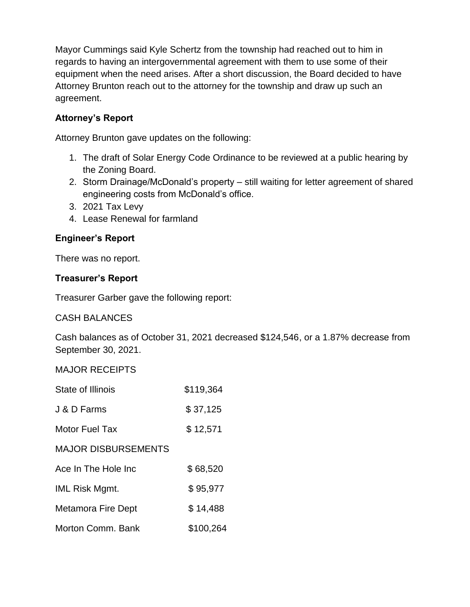Mayor Cummings said Kyle Schertz from the township had reached out to him in regards to having an intergovernmental agreement with them to use some of their equipment when the need arises. After a short discussion, the Board decided to have Attorney Brunton reach out to the attorney for the township and draw up such an agreement.

# **Attorney's Report**

Attorney Brunton gave updates on the following:

- 1. The draft of Solar Energy Code Ordinance to be reviewed at a public hearing by the Zoning Board.
- 2. Storm Drainage/McDonald's property still waiting for letter agreement of shared engineering costs from McDonald's office.
- 3. 2021 Tax Levy
- 4. Lease Renewal for farmland

# **Engineer's Report**

There was no report.

# **Treasurer's Report**

Treasurer Garber gave the following report:

# CASH BALANCES

Cash balances as of October 31, 2021 decreased \$124,546, or a 1.87% decrease from September 30, 2021.

MAJOR RECEIPTS

| State of Illinois          | \$119,364 |
|----------------------------|-----------|
| J & D Farms                | \$37,125  |
| <b>Motor Fuel Tax</b>      | \$12,571  |
| <b>MAJOR DISBURSEMENTS</b> |           |
| Ace In The Hole Inc        | \$68,520  |
| <b>IML Risk Mgmt.</b>      | \$95,977  |
| Metamora Fire Dept         | \$14,488  |
| Morton Comm. Bank          | \$100,264 |